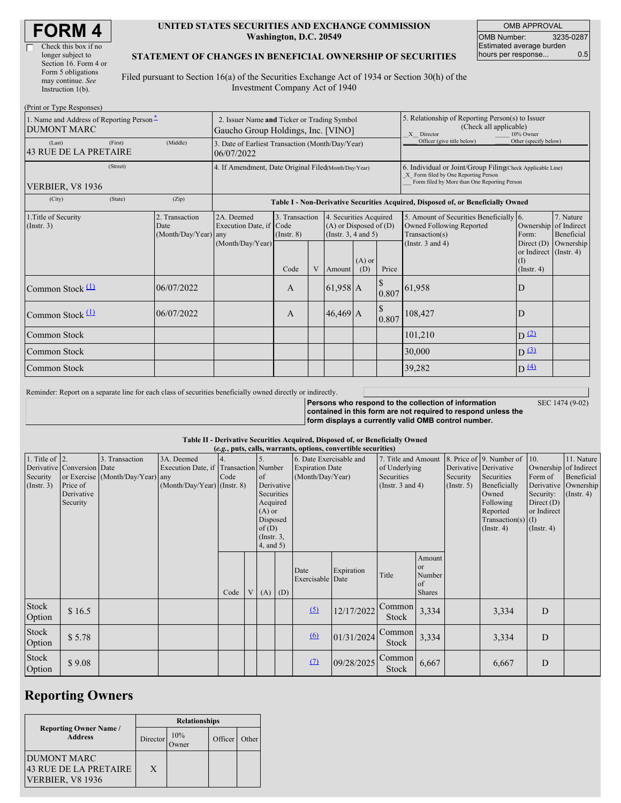| <b>FORM4</b> |
|--------------|
|--------------|

 $\Box$ 

| Check this box if no  |
|-----------------------|
| longer subject to     |
| Section 16. Form 4 or |
| Form 5 obligations    |
| may continue. See     |
| Instruction $1(b)$ .  |
|                       |

#### **UNITED STATES SECURITIES AND EXCHANGE COMMISSION Washington, D.C. 20549**

OMB APPROVAL OMB Number: 3235-0287 Estimated average burden hours per response... 0.5

SEC 1474 (9-02)

#### **STATEMENT OF CHANGES IN BENEFICIAL OWNERSHIP OF SECURITIES**

Filed pursuant to Section 16(a) of the Securities Exchange Act of 1934 or Section 30(h) of the Investment Company Act of 1940

| (Print or Type Responses)                                      |                                                                                   |                                                                |                                           |  |                                                                                                                      |                                                                                                       |                        |                                                                                                                                                    |                                                                                                     |                                      |  |
|----------------------------------------------------------------|-----------------------------------------------------------------------------------|----------------------------------------------------------------|-------------------------------------------|--|----------------------------------------------------------------------------------------------------------------------|-------------------------------------------------------------------------------------------------------|------------------------|----------------------------------------------------------------------------------------------------------------------------------------------------|-----------------------------------------------------------------------------------------------------|--------------------------------------|--|
| 1. Name and Address of Reporting Person*<br><b>DUMONT MARC</b> | 2. Issuer Name and Ticker or Trading Symbol<br>Gaucho Group Holdings, Inc. [VINO] |                                                                |                                           |  |                                                                                                                      | 5. Relationship of Reporting Person(s) to Issuer<br>(Check all applicable)<br>X Director<br>10% Owner |                        |                                                                                                                                                    |                                                                                                     |                                      |  |
| (First)<br>(Last)<br>43 RUE DE LA PRETAIRE                     | (Middle)                                                                          | 3. Date of Earliest Transaction (Month/Day/Year)<br>06/07/2022 |                                           |  |                                                                                                                      |                                                                                                       |                        | Officer (give title below)                                                                                                                         | Other (specify below)                                                                               |                                      |  |
| (Street)<br><b>VERBIER, V8 1936</b>                            |                                                                                   | 4. If Amendment, Date Original Filed(Month/Day/Year)           |                                           |  |                                                                                                                      |                                                                                                       |                        | 6. Individual or Joint/Group Filing(Check Applicable Line)<br>X Form filed by One Reporting Person<br>Form filed by More than One Reporting Person |                                                                                                     |                                      |  |
| (City)<br>(State)                                              | (Zip)                                                                             |                                                                |                                           |  |                                                                                                                      |                                                                                                       |                        | Table I - Non-Derivative Securities Acquired, Disposed of, or Beneficially Owned                                                                   |                                                                                                     |                                      |  |
| 1. Title of Security<br>(Insert. 3)                            | 2. Transaction<br>Date<br>(Month/Day/Year) any                                    | 2A. Deemed<br>Execution Date, if Code<br>(Month/Day/Year)      | 3. Transaction<br>$($ Instr. $8)$<br>Code |  | 4. Securities Acquired<br>$(A)$ or Disposed of $(D)$<br>(Insert. 3, 4 and 5)<br>$(A)$ or<br>V Amount<br>(D)<br>Price |                                                                                                       |                        | 5. Amount of Securities Beneficially 6.<br>Owned Following Reported<br>Transaction(s)<br>(Instr. $3$ and $4$ )                                     | Ownership of Indirect<br>Form:<br>Direct $(D)$<br>or Indirect (Instr. 4)<br>(I)<br>$($ Instr. 4 $)$ | 7. Nature<br>Beneficial<br>Ownership |  |
| Common Stock (1)                                               | 06/07/2022                                                                        |                                                                | A                                         |  | $61,958$ A                                                                                                           |                                                                                                       | <sup>S</sup><br>0.807  | 61,958                                                                                                                                             | D                                                                                                   |                                      |  |
| Common Stock (1)                                               | 06/07/2022                                                                        |                                                                | $\mathsf{A}$                              |  | $46,469$ A                                                                                                           |                                                                                                       | <sup>\$</sup><br>0.807 | 108,427                                                                                                                                            | D                                                                                                   |                                      |  |
| Common Stock                                                   |                                                                                   |                                                                |                                           |  |                                                                                                                      |                                                                                                       |                        | 101,210                                                                                                                                            | $D^{(2)}$                                                                                           |                                      |  |
| Common Stock                                                   |                                                                                   |                                                                |                                           |  |                                                                                                                      |                                                                                                       |                        | 30,000                                                                                                                                             | $D^{(3)}$                                                                                           |                                      |  |
| Common Stock                                                   |                                                                                   |                                                                |                                           |  |                                                                                                                      |                                                                                                       |                        | 39,282                                                                                                                                             | D(4)                                                                                                |                                      |  |

Reminder: Report on a separate line for each class of securities beneficially owned directly or indirectly.

**Persons who respond to the collection of information contained in this form are not required to respond unless the form displays a currently valid OMB control number.**

### **Table II - Derivative Securities Acquired, Disposed of, or Beneficially Owned**

| (e.g., puts, calls, warrants, options, convertible securities) |                                                                  |                                                    |                                                                   |                                   |   |                                                                                                                    |             |                                                                       |            |                                                                             |                                               |                              |                                                                                                                                                               |                                                                                              |                                                                                    |
|----------------------------------------------------------------|------------------------------------------------------------------|----------------------------------------------------|-------------------------------------------------------------------|-----------------------------------|---|--------------------------------------------------------------------------------------------------------------------|-------------|-----------------------------------------------------------------------|------------|-----------------------------------------------------------------------------|-----------------------------------------------|------------------------------|---------------------------------------------------------------------------------------------------------------------------------------------------------------|----------------------------------------------------------------------------------------------|------------------------------------------------------------------------------------|
| 1. Title of $\vert$ 2.<br>Security<br>(Insert. 3)              | Derivative Conversion Date<br>Price of<br>Derivative<br>Security | 3. Transaction<br>or Exercise (Month/Day/Year) any | 3A. Deemed<br>Execution Date, if<br>$(Month/Day/Year)$ (Instr. 8) | <b>Transaction</b> Number<br>Code |   | 15.<br>of<br>Derivative<br>Securities<br>Acquired<br>$(A)$ or<br>Disposed<br>of(D)<br>$($ Instr. $3,$<br>4, and 5) |             | 6. Date Exercisable and<br><b>Expiration Date</b><br>(Month/Day/Year) |            | 7. Title and Amount<br>of Underlying<br>Securities<br>(Instr. $3$ and $4$ ) |                                               | Security<br>$($ Instr. 5 $)$ | 8. Price of 9. Number of<br>Derivative Derivative<br>Securities<br>Beneficially<br>Owned<br>Following<br>Reported<br>Transaction(s) $(I)$<br>$($ Instr. 4 $)$ | 10.<br>Form of<br>Derivative<br>Security:<br>Direct $(D)$<br>or Indirect<br>$($ Instr. 4 $)$ | 11. Nature<br>Ownership of Indirect<br>Beneficial<br>Ownership<br>$($ Instr. 4 $)$ |
|                                                                |                                                                  |                                                    |                                                                   | Code                              | V |                                                                                                                    | $(A)$ $(D)$ | Date<br>Exercisable Date                                              | Expiration | Title                                                                       | Amount<br>or<br>Number<br>of<br><b>Shares</b> |                              |                                                                                                                                                               |                                                                                              |                                                                                    |
| Stock<br>Option                                                | \$16.5                                                           |                                                    |                                                                   |                                   |   |                                                                                                                    |             | (5)                                                                   | 12/17/2022 | Common<br><b>Stock</b>                                                      | 3,334                                         |                              | 3,334                                                                                                                                                         | D                                                                                            |                                                                                    |
| Stock<br>Option                                                | \$5.78                                                           |                                                    |                                                                   |                                   |   |                                                                                                                    |             | $\omega$                                                              | 01/31/2024 | Common<br><b>Stock</b>                                                      | 3,334                                         |                              | 3,334                                                                                                                                                         | D                                                                                            |                                                                                    |
| Stock<br>Option                                                | \$9.08                                                           |                                                    |                                                                   |                                   |   |                                                                                                                    |             | (7)                                                                   | 09/28/2025 | Common<br>Stock                                                             | 6,667                                         |                              | 6,667                                                                                                                                                         | $\mathbf D$                                                                                  |                                                                                    |

## **Reporting Owners**

|                                                                        | <b>Relationships</b> |              |         |       |  |  |  |  |
|------------------------------------------------------------------------|----------------------|--------------|---------|-------|--|--|--|--|
| <b>Reporting Owner Name /</b><br><b>Address</b>                        | Director             | 10%<br>)wner | Officer | Other |  |  |  |  |
| <b>DUMONT MARC</b><br>43 RUE DE LA PRETAIRE<br><b>VERBIER, V8 1936</b> | X                    |              |         |       |  |  |  |  |